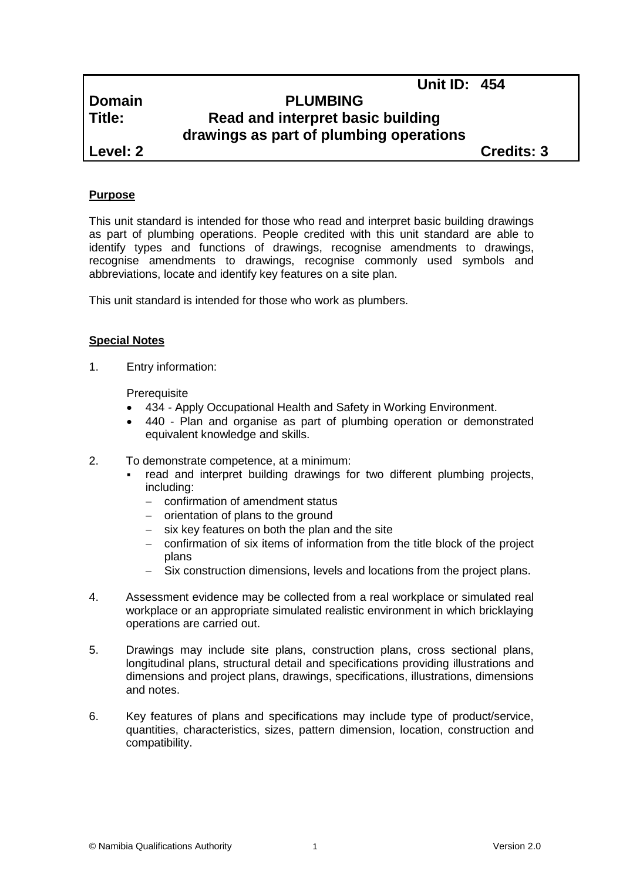# **Domain PLUMBING Title: Read and interpret basic building drawings as part of plumbing operations**

**Level: 2 Credits: 3**

**Unit ID: 454**

## **Purpose**

This unit standard is intended for those who read and interpret basic building drawings as part of plumbing operations. People credited with this unit standard are able to identify types and functions of drawings, recognise amendments to drawings, recognise amendments to drawings, recognise commonly used symbols and abbreviations, locate and identify key features on a site plan.

This unit standard is intended for those who work as plumbers.

## **Special Notes**

1. Entry information:

**Prerequisite** 

- 434 *-* Apply Occupational Health and Safety in Working Environment.
- 440 Plan and organise as part of plumbing operation or demonstrated equivalent knowledge and skills.
- 2. To demonstrate competence, at a minimum:
	- read and interpret building drawings for two different plumbing projects, including:
		- confirmation of amendment status
		- $-$  orientation of plans to the ground
		- $-$  six key features on both the plan and the site
		- confirmation of six items of information from the title block of the project plans
		- Six construction dimensions, levels and locations from the project plans.
- 4. Assessment evidence may be collected from a real workplace or simulated real workplace or an appropriate simulated realistic environment in which bricklaying operations are carried out.
- 5. Drawings may include site plans, construction plans, cross sectional plans, longitudinal plans, structural detail and specifications providing illustrations and dimensions and project plans, drawings, specifications, illustrations, dimensions and notes.
- 6. Key features of plans and specifications may include type of product/service, quantities, characteristics, sizes, pattern dimension, location, construction and compatibility.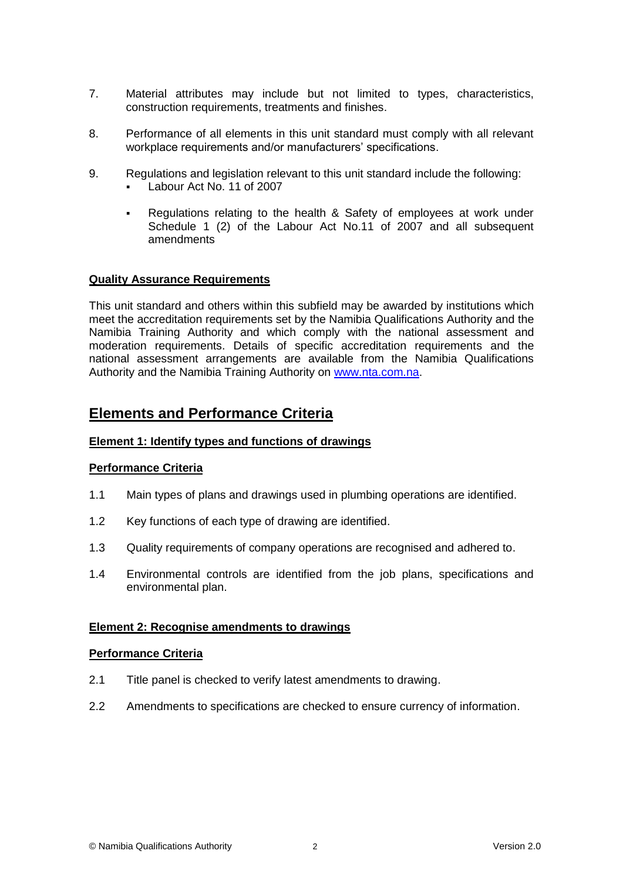- 7. Material attributes may include but not limited to types, characteristics, construction requirements, treatments and finishes.
- 8. Performance of all elements in this unit standard must comply with all relevant workplace requirements and/or manufacturers' specifications.
- 9. Regulations and legislation relevant to this unit standard include the following: Labour Act No. 11 of 2007
	- Regulations relating to the health & Safety of employees at work under Schedule 1 (2) of the Labour Act No.11 of 2007 and all subsequent

## **Quality Assurance Requirements**

amendments

This unit standard and others within this subfield may be awarded by institutions which meet the accreditation requirements set by the Namibia Qualifications Authority and the Namibia Training Authority and which comply with the national assessment and moderation requirements. Details of specific accreditation requirements and the national assessment arrangements are available from the Namibia Qualifications Authority and the Namibia Training Authority on [www.nta.com.na.](http://www.nta.com.na/)

## **Elements and Performance Criteria**

## **Element 1: Identify types and functions of drawings**

## **Performance Criteria**

- 1.1 Main types of plans and drawings used in plumbing operations are identified.
- 1.2 Key functions of each type of drawing are identified.
- 1.3 Quality requirements of company operations are recognised and adhered to.
- 1.4 Environmental controls are identified from the job plans, specifications and environmental plan.

#### **Element 2: Recognise amendments to drawings**

#### **Performance Criteria**

- 2.1 Title panel is checked to verify latest amendments to drawing.
- 2.2 Amendments to specifications are checked to ensure currency of information.